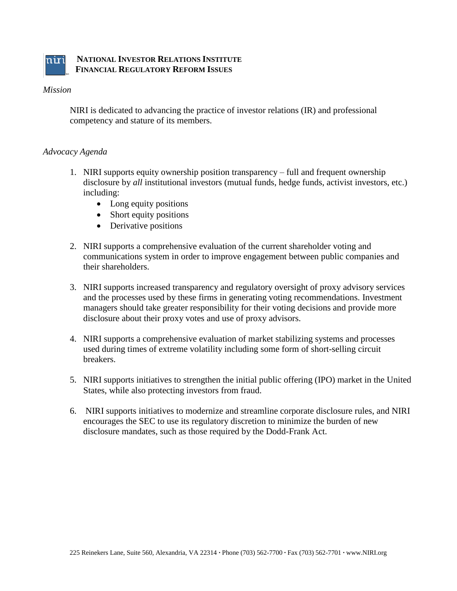

#### *Mission*

NIRI is dedicated to advancing the practice of investor relations (IR) and professional competency and stature of its members.

#### *Advocacy Agenda*

- 1. NIRI supports equity ownership position transparency full and frequent ownership disclosure by *all* institutional investors (mutual funds, hedge funds, activist investors, etc.) including:
	- Long equity positions
	- Short equity positions
	- Derivative positions
- 2. NIRI supports a comprehensive evaluation of the current shareholder voting and communications system in order to improve engagement between public companies and their shareholders.
- 3. NIRI supports increased transparency and regulatory oversight of proxy advisory services and the processes used by these firms in generating voting recommendations. Investment managers should take greater responsibility for their voting decisions and provide more disclosure about their proxy votes and use of proxy advisors.
- 4. NIRI supports a comprehensive evaluation of market stabilizing systems and processes used during times of extreme volatility including some form of short-selling circuit breakers.
- 5. NIRI supports initiatives to strengthen the initial public offering (IPO) market in the United States, while also protecting investors from fraud.
- 6. NIRI supports initiatives to modernize and streamline corporate disclosure rules, and NIRI encourages the SEC to use its regulatory discretion to minimize the burden of new disclosure mandates, such as those required by the Dodd-Frank Act.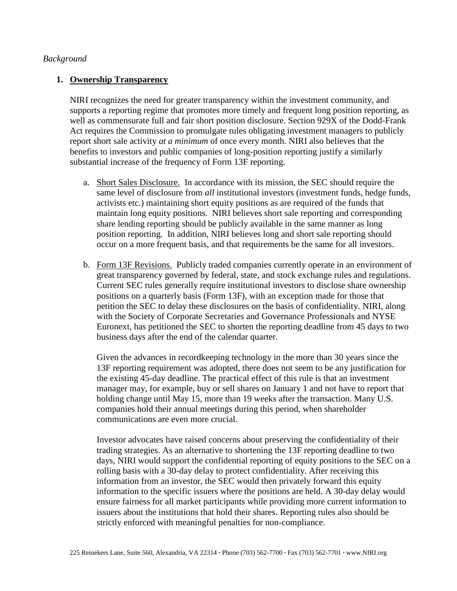#### *Background*

## **1. Ownership Transparency**

NIRI recognizes the need for greater transparency within the investment community, and supports a reporting regime that promotes more timely and frequent long position reporting, as well as commensurate full and fair short position disclosure. Section 929X of the Dodd-Frank Act requires the Commission to promulgate rules obligating investment managers to publicly report short sale activity *at a minimum* of once every month. NIRI also believes that the benefits to investors and public companies of long-position reporting justify a similarly substantial increase of the frequency of Form 13F reporting.

- a. Short Sales Disclosure. In accordance with its mission, the SEC should require the same level of disclosure from *all* institutional investors (investment funds, hedge funds, activists etc.) maintaining short equity positions as are required of the funds that maintain long equity positions. NIRI believes short sale reporting and corresponding share lending reporting should be publicly available in the same manner as long position reporting. In addition, NIRI believes long and short sale reporting should occur on a more frequent basis, and that requirements be the same for all investors.
- b. Form 13F Revisions. Publicly traded companies currently operate in an environment of great transparency governed by federal, state, and stock exchange rules and regulations. Current SEC rules generally require institutional investors to disclose share ownership positions on a quarterly basis (Form 13F), with an exception made for those that petition the SEC to delay these disclosures on the basis of confidentiality. NIRI, along with the Society of Corporate Secretaries and Governance Professionals and NYSE Euronext, has petitioned the SEC to shorten the reporting deadline from 45 days to two business days after the end of the calendar quarter.

Given the advances in recordkeeping technology in the more than 30 years since the 13F reporting requirement was adopted, there does not seem to be any justification for the existing 45-day deadline. The practical effect of this rule is that an investment manager may, for example, buy or sell shares on January 1 and not have to report that holding change until May 15, more than 19 weeks after the transaction. Many U.S. companies hold their annual meetings during this period, when shareholder communications are even more crucial.

Investor advocates have raised concerns about preserving the confidentiality of their trading strategies. As an alternative to shortening the 13F reporting deadline to two days, NIRI would support the confidential reporting of equity positions to the SEC on a rolling basis with a 30-day delay to protect confidentiality. After receiving this information from an investor, the SEC would then privately forward this equity information to the specific issuers where the positions are held. A 30-day delay would ensure fairness for all market participants while providing more current information to issuers about the institutions that hold their shares. Reporting rules also should be strictly enforced with meaningful penalties for non-compliance.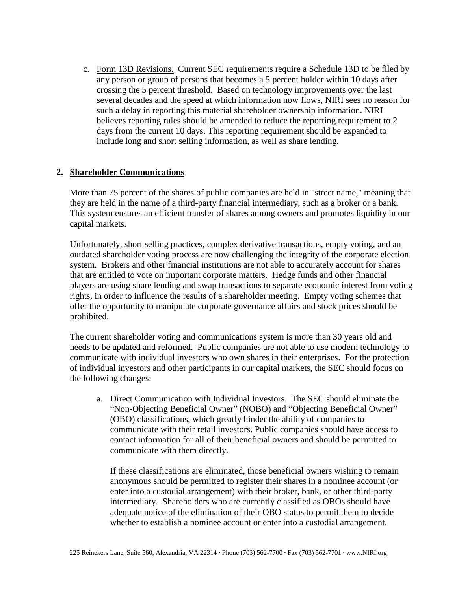c. Form 13D Revisions. Current SEC requirements require a Schedule 13D to be filed by any person or group of persons that becomes a 5 percent holder within 10 days after crossing the 5 percent threshold. Based on technology improvements over the last several decades and the speed at which information now flows, NIRI sees no reason for such a delay in reporting this material shareholder ownership information. NIRI believes reporting rules should be amended to reduce the reporting requirement to 2 days from the current 10 days. This reporting requirement should be expanded to include long and short selling information, as well as share lending.

# **2. Shareholder Communications**

More than 75 percent of the shares of public companies are held in "street name," meaning that they are held in the name of a third-party financial intermediary, such as a broker or a bank. This system ensures an efficient transfer of shares among owners and promotes liquidity in our capital markets.

Unfortunately, short selling practices, complex derivative transactions, empty voting, and an outdated shareholder voting process are now challenging the integrity of the corporate election system. Brokers and other financial institutions are not able to accurately account for shares that are entitled to vote on important corporate matters. Hedge funds and other financial players are using share lending and swap transactions to separate economic interest from voting rights, in order to influence the results of a shareholder meeting. Empty voting schemes that offer the opportunity to manipulate corporate governance affairs and stock prices should be prohibited.

The current shareholder voting and communications system is more than 30 years old and needs to be updated and reformed. Public companies are not able to use modern technology to communicate with individual investors who own shares in their enterprises. For the protection of individual investors and other participants in our capital markets, the SEC should focus on the following changes:

a. Direct Communication with Individual Investors. The SEC should eliminate the "Non-Objecting Beneficial Owner" (NOBO) and "Objecting Beneficial Owner" (OBO) classifications, which greatly hinder the ability of companies to communicate with their retail investors. Public companies should have access to contact information for all of their beneficial owners and should be permitted to communicate with them directly.

If these classifications are eliminated, those beneficial owners wishing to remain anonymous should be permitted to register their shares in a nominee account (or enter into a custodial arrangement) with their broker, bank, or other third-party intermediary. Shareholders who are currently classified as OBOs should have adequate notice of the elimination of their OBO status to permit them to decide whether to establish a nominee account or enter into a custodial arrangement.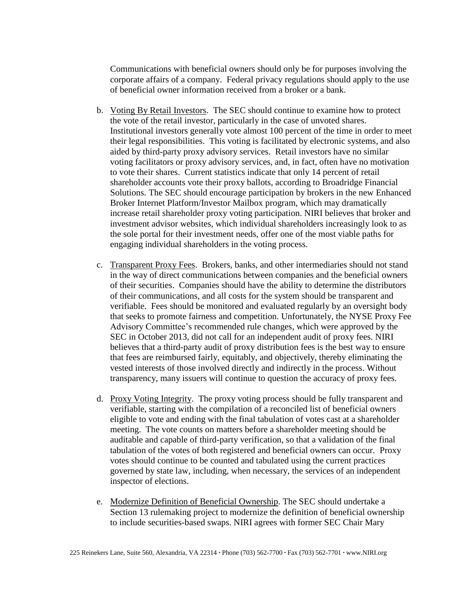Communications with beneficial owners should only be for purposes involving the corporate affairs of a company. Federal privacy regulations should apply to the use of beneficial owner information received from a broker or a bank.

- b. Voting By Retail Investors. The SEC should continue to examine how to protect the vote of the retail investor, particularly in the case of unvoted shares. Institutional investors generally vote almost 100 percent of the time in order to meet their legal responsibilities. This voting is facilitated by electronic systems, and also aided by third-party proxy advisory services. Retail investors have no similar voting facilitators or proxy advisory services, and, in fact, often have no motivation to vote their shares. Current statistics indicate that only 14 percent of retail shareholder accounts vote their proxy ballots, according to Broadridge Financial Solutions. The SEC should encourage participation by brokers in the new Enhanced Broker Internet Platform/Investor Mailbox program, which may dramatically increase retail shareholder proxy voting participation. NIRI believes that broker and investment advisor websites, which individual shareholders increasingly look to as the sole portal for their investment needs, offer one of the most viable paths for engaging individual shareholders in the voting process.
- c. Transparent Proxy Fees. Brokers, banks, and other intermediaries should not stand in the way of direct communications between companies and the beneficial owners of their securities. Companies should have the ability to determine the distributors of their communications, and all costs for the system should be transparent and verifiable. Fees should be monitored and evaluated regularly by an oversight body that seeks to promote fairness and competition. Unfortunately, the NYSE Proxy Fee Advisory Committee's recommended rule changes, which were approved by the SEC in October 2013, did not call for an independent audit of proxy fees. NIRI believes that a third-party audit of proxy distribution fees is the best way to ensure that fees are reimbursed fairly, equitably, and objectively, thereby eliminating the vested interests of those involved directly and indirectly in the process. Without transparency, many issuers will continue to question the accuracy of proxy fees.
- d. Proxy Voting Integrity. The proxy voting process should be fully transparent and verifiable, starting with the compilation of a reconciled list of beneficial owners eligible to vote and ending with the final tabulation of votes cast at a shareholder meeting. The vote counts on matters before a shareholder meeting should be auditable and capable of third-party verification, so that a validation of the final tabulation of the votes of both registered and beneficial owners can occur. Proxy votes should continue to be counted and tabulated using the current practices governed by state law, including, when necessary, the services of an independent inspector of elections.
- e. Modernize Definition of Beneficial Ownership. The SEC should undertake a Section 13 rulemaking project to modernize the definition of beneficial ownership to include securities-based swaps. NIRI agrees with former SEC Chair Mary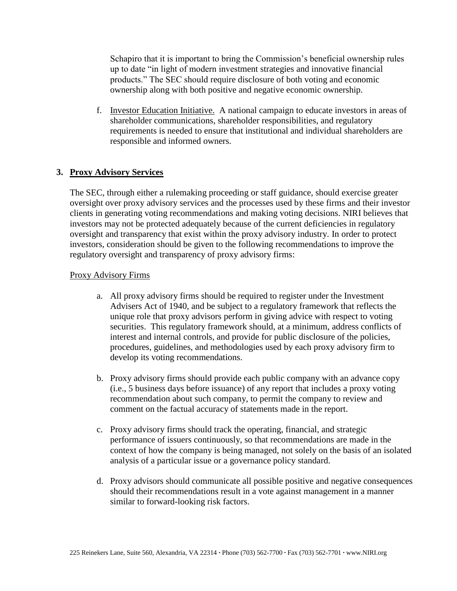Schapiro that it is important to bring the Commission's beneficial ownership rules up to date "in light of modern investment strategies and innovative financial products." The SEC should require disclosure of both voting and economic ownership along with both positive and negative economic ownership.

f. Investor Education Initiative. A national campaign to educate investors in areas of shareholder communications, shareholder responsibilities, and regulatory requirements is needed to ensure that institutional and individual shareholders are responsible and informed owners.

# **3. Proxy Advisory Services**

The SEC, through either a rulemaking proceeding or staff guidance, should exercise greater oversight over proxy advisory services and the processes used by these firms and their investor clients in generating voting recommendations and making voting decisions. NIRI believes that investors may not be protected adequately because of the current deficiencies in regulatory oversight and transparency that exist within the proxy advisory industry. In order to protect investors, consideration should be given to the following recommendations to improve the regulatory oversight and transparency of proxy advisory firms:

#### Proxy Advisory Firms

- a. All proxy advisory firms should be required to register under the Investment Advisers Act of 1940, and be subject to a regulatory framework that reflects the unique role that proxy advisors perform in giving advice with respect to voting securities. This regulatory framework should, at a minimum, address conflicts of interest and internal controls, and provide for public disclosure of the policies, procedures, guidelines, and methodologies used by each proxy advisory firm to develop its voting recommendations.
- b. Proxy advisory firms should provide each public company with an advance copy (i.e., 5 business days before issuance) of any report that includes a proxy voting recommendation about such company, to permit the company to review and comment on the factual accuracy of statements made in the report.
- c. Proxy advisory firms should track the operating, financial, and strategic performance of issuers continuously, so that recommendations are made in the context of how the company is being managed, not solely on the basis of an isolated analysis of a particular issue or a governance policy standard.
- d. Proxy advisors should communicate all possible positive and negative consequences should their recommendations result in a vote against management in a manner similar to forward-looking risk factors.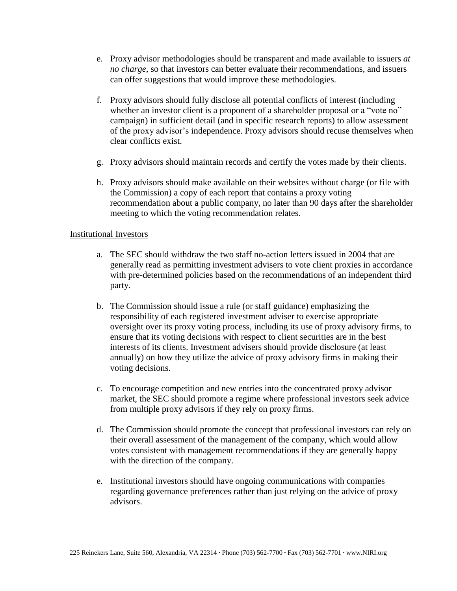- e. Proxy advisor methodologies should be transparent and made available to issuers *at no charge*, so that investors can better evaluate their recommendations, and issuers can offer suggestions that would improve these methodologies.
- f. Proxy advisors should fully disclose all potential conflicts of interest (including whether an investor client is a proponent of a shareholder proposal or a "vote no" campaign) in sufficient detail (and in specific research reports) to allow assessment of the proxy advisor's independence. Proxy advisors should recuse themselves when clear conflicts exist.
- g. Proxy advisors should maintain records and certify the votes made by their clients.
- h. Proxy advisors should make available on their websites without charge (or file with the Commission) a copy of each report that contains a proxy voting recommendation about a public company, no later than 90 days after the shareholder meeting to which the voting recommendation relates.

#### Institutional Investors

- a. The SEC should withdraw the two staff no-action letters issued in 2004 that are generally read as permitting investment advisers to vote client proxies in accordance with pre-determined policies based on the recommendations of an independent third party.
- b. The Commission should issue a rule (or staff guidance) emphasizing the responsibility of each registered investment adviser to exercise appropriate oversight over its proxy voting process, including its use of proxy advisory firms, to ensure that its voting decisions with respect to client securities are in the best interests of its clients. Investment advisers should provide disclosure (at least annually) on how they utilize the advice of proxy advisory firms in making their voting decisions.
- c. To encourage competition and new entries into the concentrated proxy advisor market, the SEC should promote a regime where professional investors seek advice from multiple proxy advisors if they rely on proxy firms.
- d. The Commission should promote the concept that professional investors can rely on their overall assessment of the management of the company, which would allow votes consistent with management recommendations if they are generally happy with the direction of the company.
- e. Institutional investors should have ongoing communications with companies regarding governance preferences rather than just relying on the advice of proxy advisors.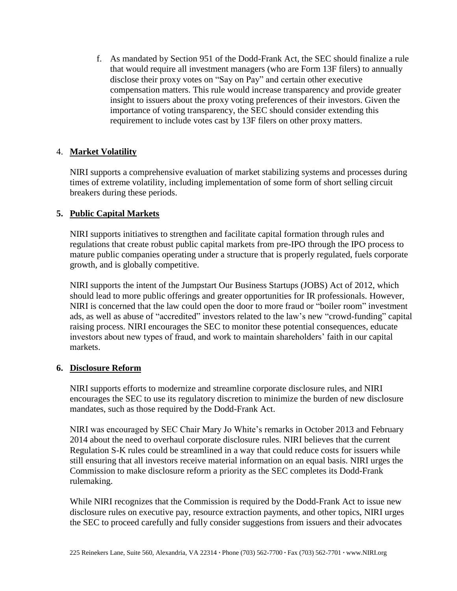f. As mandated by Section 951 of the Dodd-Frank Act, the SEC should finalize a rule that would require all investment managers (who are Form 13F filers) to annually disclose their proxy votes on "Say on Pay" and certain other executive compensation matters. This rule would increase transparency and provide greater insight to issuers about the proxy voting preferences of their investors. Given the importance of voting transparency, the SEC should consider extending this requirement to include votes cast by 13F filers on other proxy matters.

# 4. **Market Volatility**

NIRI supports a comprehensive evaluation of market stabilizing systems and processes during times of extreme volatility, including implementation of some form of short selling circuit breakers during these periods.

# **5. Public Capital Markets**

NIRI supports initiatives to strengthen and facilitate capital formation through rules and regulations that create robust public capital markets from pre-IPO through the IPO process to mature public companies operating under a structure that is properly regulated, fuels corporate growth, and is globally competitive.

NIRI supports the intent of the Jumpstart Our Business Startups (JOBS) Act of 2012, which should lead to more public offerings and greater opportunities for IR professionals. However, NIRI is concerned that the law could open the door to more fraud or "boiler room" investment ads, as well as abuse of "accredited" investors related to the law's new "crowd-funding" capital raising process. NIRI encourages the SEC to monitor these potential consequences, educate investors about new types of fraud, and work to maintain shareholders' faith in our capital markets.

## **6. Disclosure Reform**

NIRI supports efforts to modernize and streamline corporate disclosure rules, and NIRI encourages the SEC to use its regulatory discretion to minimize the burden of new disclosure mandates, such as those required by the Dodd-Frank Act.

NIRI was encouraged by SEC Chair Mary Jo White's remarks in October 2013 and February 2014 about the need to overhaul corporate disclosure rules. NIRI believes that the current Regulation S-K rules could be streamlined in a way that could reduce costs for issuers while still ensuring that all investors receive material information on an equal basis. NIRI urges the Commission to make disclosure reform a priority as the SEC completes its Dodd-Frank rulemaking.

While NIRI recognizes that the Commission is required by the Dodd-Frank Act to issue new disclosure rules on executive pay, resource extraction payments, and other topics, NIRI urges the SEC to proceed carefully and fully consider suggestions from issuers and their advocates